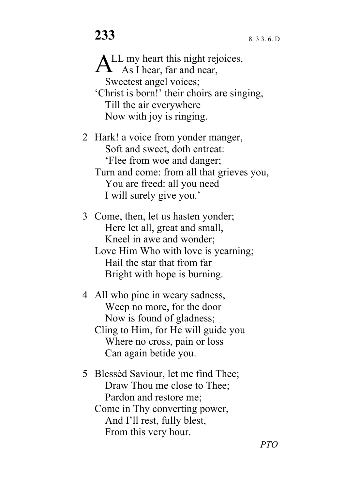LL my heart this night rejoices,  $A<sup>LL</sup>$  my heart this night rejers As I hear, far and near, Sweetest angel voices; 'Christ is born!' their choirs are singing, Till the air everywhere Now with joy is ringing.

2 Hark! a voice from yonder manger, Soft and sweet, doth entreat: 'Flee from woe and danger; Turn and come: from all that grieves you, You are freed: all you need I will surely give you.'

3 Come, then, let us hasten yonder; Here let all, great and small, Kneel in awe and wonder; Love Him Who with love is yearning; Hail the star that from far Bright with hope is burning.

4 All who pine in weary sadness, Weep no more, for the door Now is found of gladness; Cling to Him, for He will guide you Where no cross, pain or loss Can again betide you.

5 Blessèd Saviour, let me find Thee; Draw Thou me close to Thee; Pardon and restore me; Come in Thy converting power, And I'll rest, fully blest, From this very hour.